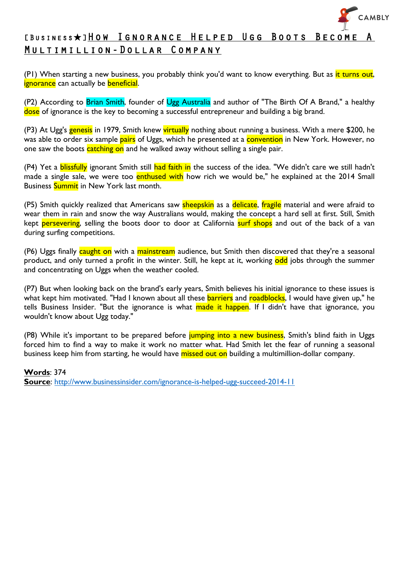

## [BUSINESS★]HOW IGNORANCE HELPED UGG BOOTS BECOME Multimillion-Dollar Company

(P1) When starting a new business, you probably think you'd want to know everything. But as it turns out, ignorance can actually be beneficial.

(P2) According to Brian Smith, founder of Ugg Australia and author of "The Birth Of A Brand," a healthy dose of ignorance is the key to becoming a successful entrepreneur and building a big brand.

(P3) At Ugg's genesis in 1979, Smith knew virtually nothing about running a business. With a mere \$200, he was able to order six sample pairs of Uggs, which he presented at a convention in New York. However, no one saw the boots catching on and he walked away without selling a single pair.

(P4) Yet a **blissfully** ignorant Smith still had faith in the success of the idea. "We didn't care we still hadn't made a single sale, we were too enthused with how rich we would be," he explained at the 2014 Small Business **Summit** in New York last month.

(P5) Smith quickly realized that Americans saw sheepskin as a delicate, fragile material and were afraid to wear them in rain and snow the way Australians would, making the concept a hard sell at first. Still, Smith kept persevering, selling the boots door to door at California surf shops and out of the back of a van during surfing competitions.

(P6) Uggs finally caught on with a mainstream audience, but Smith then discovered that they're a seasonal product, and only turned a profit in the winter. Still, he kept at it, working odd jobs through the summer and concentrating on Uggs when the weather cooled.

(P7) But when looking back on the brand's early years, Smith believes his initial ignorance to these issues is what kept him motivated. "Had I known about all these **barriers** and roadblocks, I would have given up," he tells Business Insider. "But the ignorance is what made it happen. If I didn't have that ignorance, you wouldn't know about Ugg today."

(P8) While it's important to be prepared before jumping into a new business, Smith's blind faith in Uggs forced him to find a way to make it work no matter what. Had Smith let the fear of running a seasonal business keep him from starting, he would have missed out on building a multimillion-dollar company.

**Words**: 374 **Source**: http://www.businessinsider.com/ignorance-is-helped-ugg-succeed-2014-11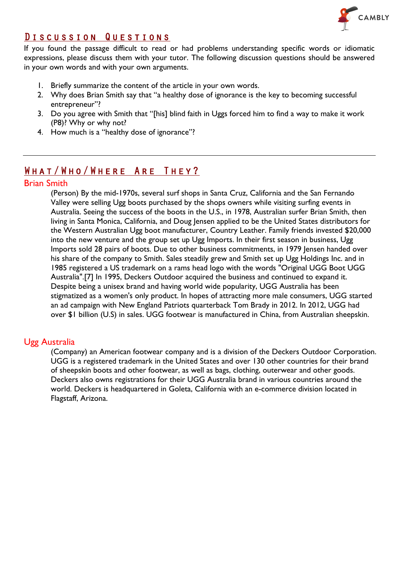

### Discussion Questions

If you found the passage difficult to read or had problems understanding specific words or idiomatic expressions, please discuss them with your tutor. The following discussion questions should be answered in your own words and with your own arguments.

- 1. Briefly summarize the content of the article in your own words.
- 2. Why does Brian Smith say that "a healthy dose of ignorance is the key to becoming successful entrepreneur"?
- 3. Do you agree with Smith that "[his] blind faith in Uggs forced him to find a way to make it work (P8)? Why or why not?
- 4. How much is a "healthy dose of ignorance"?

## What/Who/Where Are They?

#### Brian Smith

(Person) By the mid-1970s, several surf shops in Santa Cruz, California and the San Fernando Valley were selling Ugg boots purchased by the shops owners while visiting surfing events in Australia. Seeing the success of the boots in the U.S., in 1978, Australian surfer Brian Smith, then living in Santa Monica, California, and Doug Jensen applied to be the United States distributors for the Western Australian Ugg boot manufacturer, Country Leather. Family friends invested \$20,000 into the new venture and the group set up Ugg Imports. In their first season in business, Ugg Imports sold 28 pairs of boots. Due to other business commitments, in 1979 Jensen handed over his share of the company to Smith. Sales steadily grew and Smith set up Ugg Holdings Inc. and in 1985 registered a US trademark on a rams head logo with the words "Original UGG Boot UGG Australia".[7] In 1995, Deckers Outdoor acquired the business and continued to expand it. Despite being a unisex brand and having world wide popularity, UGG Australia has been stigmatized as a women's only product. In hopes of attracting more male consumers, UGG started an ad campaign with New England Patriots quarterback Tom Brady in 2012. In 2012, UGG had over \$1 billion (U.S) in sales. UGG footwear is manufactured in China, from Australian sheepskin.

#### Ugg Australia

(Company) an American footwear company and is a division of the Deckers Outdoor Corporation. UGG is a registered trademark in the United States and over 130 other countries for their brand of sheepskin boots and other footwear, as well as bags, clothing, outerwear and other goods. Deckers also owns registrations for their UGG Australia brand in various countries around the world. Deckers is headquartered in Goleta, California with an e-commerce division located in Flagstaff, Arizona.